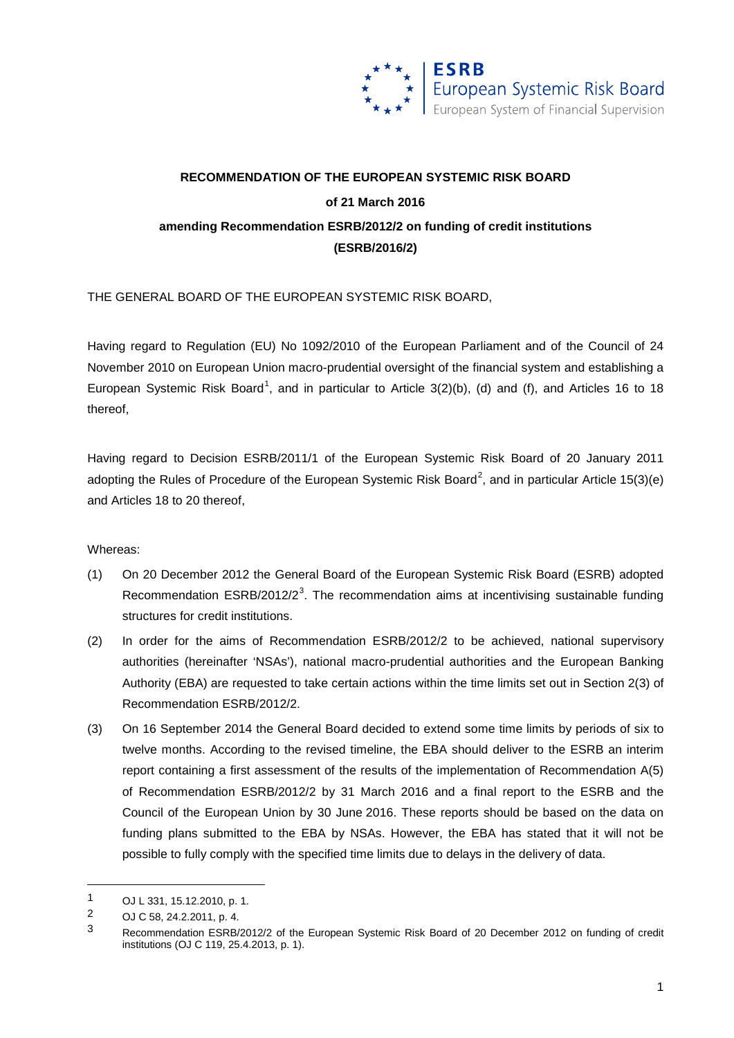

## **RECOMMENDATION OF THE EUROPEAN SYSTEMIC RISK BOARD of 21 March 2016 amending Recommendation ESRB/2012/2 on funding of credit institutions (ESRB/2016/2)**

THE GENERAL BOARD OF THE EUROPEAN SYSTEMIC RISK BOARD,

Having regard to Regulation (EU) No 1092/2010 of the European Parliament and of the Council of 24 November 2010 on European Union macro-prudential oversight of the financial system and establishing a European Systemic Risk Board<sup>[1](#page-0-0)</sup>, and in particular to Article 3(2)(b), (d) and (f), and Articles 16 to 18 thereof,

Having regard to Decision ESRB/2011/1 of the European Systemic Risk Board of 20 January 2011 adopting the Rules of Procedure of the European Systemic Risk Board<sup>[2](#page-0-1)</sup>, and in particular Article 15(3)(e) and Articles 18 to 20 thereof,

## Whereas:

- (1) On 20 December 2012 the General Board of the European Systemic Risk Board (ESRB) adopted Recommendation  $ESRB/2012/2<sup>3</sup>$  $ESRB/2012/2<sup>3</sup>$  $ESRB/2012/2<sup>3</sup>$ . The recommendation aims at incentivising sustainable funding structures for credit institutions.
- (2) In order for the aims of Recommendation ESRB/2012/2 to be achieved, national supervisory authorities (hereinafter 'NSAs'), national macro-prudential authorities and the European Banking Authority (EBA) are requested to take certain actions within the time limits set out in Section 2(3) of Recommendation ESRB/2012/2.
- (3) On 16 September 2014 the General Board decided to extend some time limits by periods of six to twelve months. According to the revised timeline, the EBA should deliver to the ESRB an interim report containing a first assessment of the results of the implementation of Recommendation A(5) of Recommendation ESRB/2012/2 by 31 March 2016 and a final report to the ESRB and the Council of the European Union by 30 June 2016. These reports should be based on the data on funding plans submitted to the EBA by NSAs. However, the EBA has stated that it will not be possible to fully comply with the specified time limits due to delays in the delivery of data.

<u>.</u>

<span id="page-0-0"></span><sup>1</sup> OJ L 331, 15.12.2010, p. 1.<br>2 OJ C 58, 24, 2, 2011, p. 4

<span id="page-0-1"></span><sup>2</sup> OJ C 58, 24.2.2011, p. 4.

<span id="page-0-2"></span><sup>3</sup> Recommendation ESRB/2012/2 of the European Systemic Risk Board of 20 December 2012 on funding of credit institutions (OJ C 119, 25.4.2013, p. 1).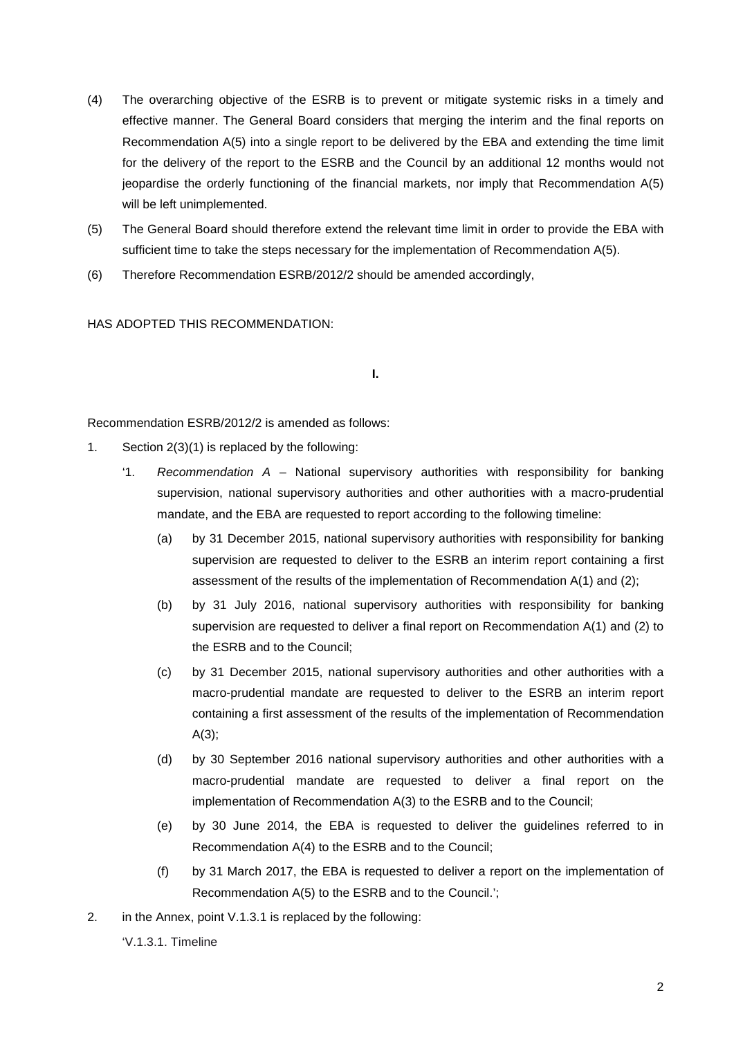- (4) The overarching objective of the ESRB is to prevent or mitigate systemic risks in a timely and effective manner. The General Board considers that merging the interim and the final reports on Recommendation A(5) into a single report to be delivered by the EBA and extending the time limit for the delivery of the report to the ESRB and the Council by an additional 12 months would not jeopardise the orderly functioning of the financial markets, nor imply that Recommendation A(5) will be left unimplemented.
- (5) The General Board should therefore extend the relevant time limit in order to provide the EBA with sufficient time to take the steps necessary for the implementation of Recommendation A(5).
- (6) Therefore Recommendation ESRB/2012/2 should be amended accordingly,

HAS ADOPTED THIS RECOMMENDATION:

## **I.**

Recommendation ESRB/2012/2 is amended as follows:

- 1. Section 2(3)(1) is replaced by the following:
	- '1. *Recommendation A* National supervisory authorities with responsibility for banking supervision, national supervisory authorities and other authorities with a macro-prudential mandate, and the EBA are requested to report according to the following timeline:
		- (a) by 31 December 2015, national supervisory authorities with responsibility for banking supervision are requested to deliver to the ESRB an interim report containing a first assessment of the results of the implementation of Recommendation A(1) and (2);
		- (b) by 31 July 2016, national supervisory authorities with responsibility for banking supervision are requested to deliver a final report on Recommendation A(1) and (2) to the ESRB and to the Council;
		- (c) by 31 December 2015, national supervisory authorities and other authorities with a macro-prudential mandate are requested to deliver to the ESRB an interim report containing a first assessment of the results of the implementation of Recommendation A(3);
		- (d) by 30 September 2016 national supervisory authorities and other authorities with a macro-prudential mandate are requested to deliver a final report on the implementation of Recommendation A(3) to the ESRB and to the Council;
		- (e) by 30 June 2014, the EBA is requested to deliver the guidelines referred to in Recommendation A(4) to the ESRB and to the Council;
		- (f) by 31 March 2017, the EBA is requested to deliver a report on the implementation of Recommendation A(5) to the ESRB and to the Council.';
- 2. in the Annex, point V.1.3.1 is replaced by the following:
	- 'V.1.3.1. Timeline